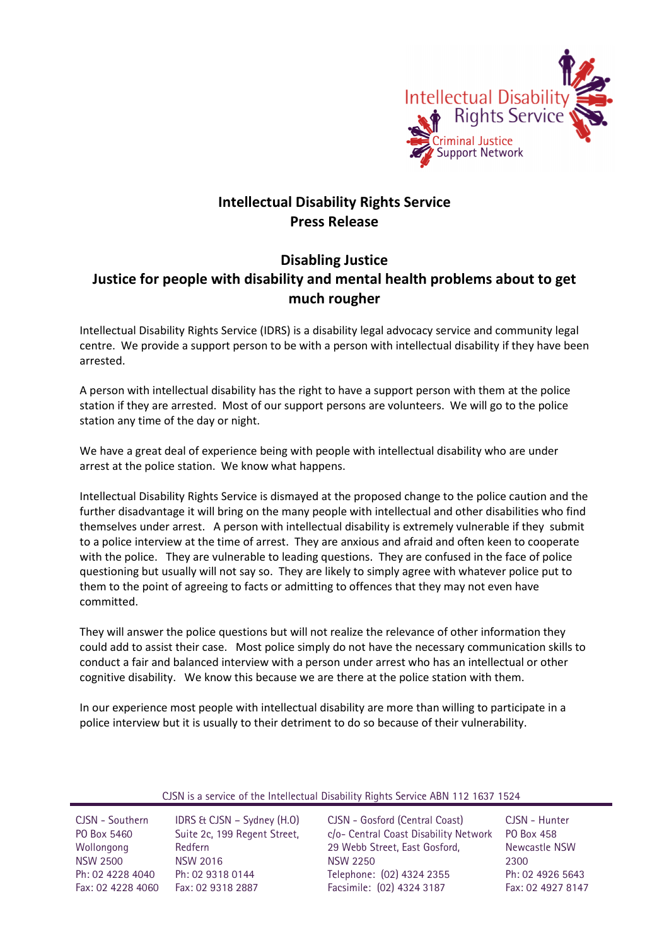

## **Intellectual Disability Rights Service Press Release**

## **Disabling Justice Justice for people with disability and mental health problems about to get much rougher**

Intellectual Disability Rights Service (IDRS) is a disability legal advocacy service and community legal centre. We provide a support person to be with a person with intellectual disability if they have been arrested.

A person with intellectual disability has the right to have a support person with them at the police station if they are arrested. Most of our support persons are volunteers. We will go to the police station any time of the day or night.

We have a great deal of experience being with people with intellectual disability who are under arrest at the police station. We know what happens.

Intellectual Disability Rights Service is dismayed at the proposed change to the police caution and the further disadvantage it will bring on the many people with intellectual and other disabilities who find themselves under arrest. A person with intellectual disability is extremely vulnerable if they submit to a police interview at the time of arrest. They are anxious and afraid and often keen to cooperate with the police. They are vulnerable to leading questions. They are confused in the face of police questioning but usually will not say so. They are likely to simply agree with whatever police put to them to the point of agreeing to facts or admitting to offences that they may not even have committed.

They will answer the police questions but will not realize the relevance of other information they could add to assist their case. Most police simply do not have the necessary communication skills to conduct a fair and balanced interview with a person under arrest who has an intellectual or other cognitive disability. We know this because we are there at the police station with them.

In our experience most people with intellectual disability are more than willing to participate in a police interview but it is usually to their detriment to do so because of their vulnerability.

| CJSN is a service of the Intellectual Disability Rights Service ABN 112 1637 1524 |  |  |  |
|-----------------------------------------------------------------------------------|--|--|--|
|                                                                                   |  |  |  |

CJSN - Southern PO Box 5460 Wollongong NSW 2500 Ph: 02 4228 4040 Fax: 02 4228 4060 Fax: 02 9318 2887

IDRS & CJSN – Sydney (H.O) Suite 2c, 199 Regent Street, Redfern NSW 2016 Ph: 02 9318 0144

CJSN - Gosford (Central Coast) c/o- Central Coast Disability Network 29 Webb Street, East Gosford, NSW 2250 Telephone: (02) 4324 2355 Facsimile: (02) 4324 3187

CJSN - Hunter PO Box 458 Newcastle NSW 2300 Ph: 02 4926 5643 Fax: 02 4927 8147